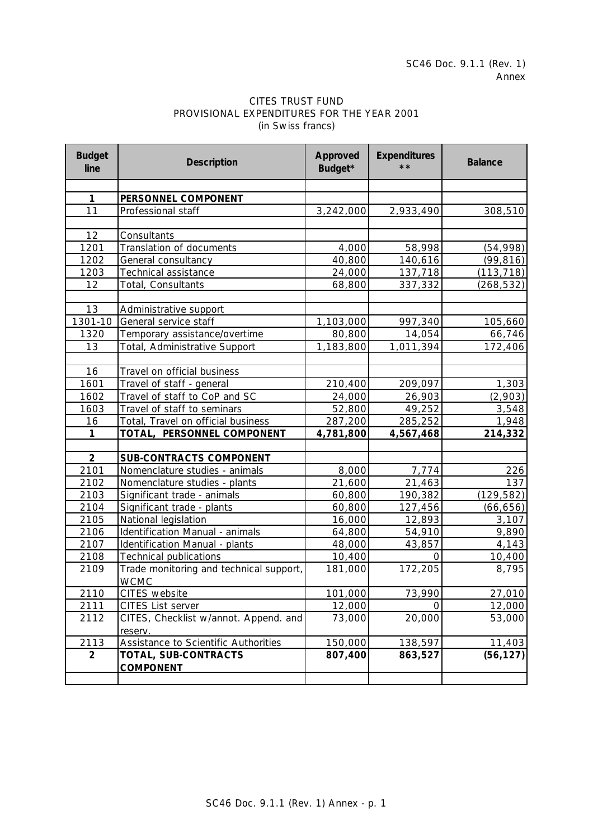## CITES TRUST FUND PROVISIONAL EXPENDITURES FOR THE YEAR 2001 (in Swiss francs)

| <b>Budget</b><br>line | <b>Description</b>                          | <b>Approved</b><br>Budget* | <b>Expenditures</b><br>$* *$ | <b>Balance</b> |
|-----------------------|---------------------------------------------|----------------------------|------------------------------|----------------|
|                       |                                             |                            |                              |                |
| $\mathbf 1$           | PERSONNEL COMPONENT                         |                            |                              |                |
| 11                    | Professional staff                          | 3,242,000                  | 2,933,490                    | 308,510        |
|                       |                                             |                            |                              |                |
| 12                    | Consultants                                 |                            |                              |                |
| 1201                  | Translation of documents                    | 4,000                      | 58,998                       | (54, 998)      |
| 1202                  | General consultancy                         | 40,800                     | 140,616                      | (99, 816)      |
| 1203                  | Technical assistance                        | 24,000                     | 137,718                      | (113, 718)     |
| 12                    | Total, Consultants                          | 68,800                     | 337,332                      | (268, 532)     |
|                       |                                             |                            |                              |                |
| 13                    | Administrative support                      |                            |                              |                |
| 1301-10               | General service staff                       | 1,103,000                  | 997,340                      | 105,660        |
| 1320                  | Temporary assistance/overtime               | 80,800                     | 14,054                       | 66,746         |
| 13                    | Total, Administrative Support               | 1,183,800                  | 1,011,394                    | 172,406        |
|                       |                                             |                            |                              |                |
| 16                    | Travel on official business                 |                            |                              |                |
| 1601                  | Travel of staff - general                   | 210,400                    | 209,097                      | 1,303          |
| 1602                  | Travel of staff to CoP and SC               | 24,000                     | 26,903                       | (2,903)        |
| 1603                  | Travel of staff to seminars                 | 52,800                     | 49,252                       | 3,548          |
| 16                    | Total, Travel on official business          | 287,200                    | 285,252                      | 1,948          |
| $\mathbf{1}$          | TOTAL, PERSONNEL COMPONENT                  | 4,781,800                  | 4,567,468                    | 214,332        |
|                       |                                             |                            |                              |                |
| $\overline{2}$        | <b>SUB-CONTRACTS COMPONENT</b>              |                            |                              |                |
| 2101                  | Nomenclature studies - animals              | 8,000                      | 7,774                        | 226            |
| 2102                  | Nomenclature studies - plants               | 21,600                     | 21,463                       | 137            |
| 2103                  | Significant trade - animals                 | 60,800                     | 190,382                      | (129, 582)     |
| 2104                  | Significant trade - plants                  | 60,800                     | 127,456                      | (66, 656)      |
| 2105                  | National legislation                        | 16,000                     | 12,893                       | 3,107          |
| 2106                  | Identification Manual - animals             | 64,800                     | 54,910                       | 9,890          |
| 2107                  | Identification Manual - plants              | 48,000                     | 43,857                       | 4,143          |
| 2108                  | <b>Technical publications</b>               | 10,400                     | 0                            | 10,400         |
| 2109                  | Trade monitoring and technical support,     | 181,000                    | 172,205                      | 8,795          |
|                       | <b>WCMC</b>                                 |                            |                              |                |
| 2110                  | CITES website                               | 101,000                    | 73,990                       | 27,010         |
| 2111                  | <b>CITES List server</b>                    | 12,000                     | O                            | 12,000         |
| 2112                  | CITES, Checklist w/annot. Append. and       | 73,000                     | 20,000                       | 53,000         |
|                       | reserv.                                     |                            |                              |                |
| 2113                  | <b>Assistance to Scientific Authorities</b> | 150,000                    | 138,597                      | 11,403         |
| $\overline{2}$        | TOTAL, SUB-CONTRACTS                        | 807,400                    | 863,527                      | (56, 127)      |
|                       | <b>COMPONENT</b>                            |                            |                              |                |
|                       |                                             |                            |                              |                |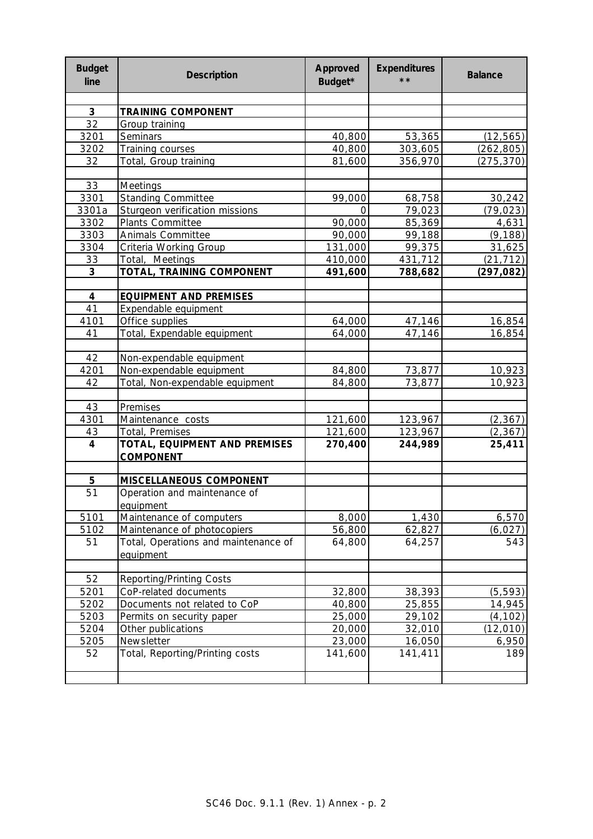| <b>Budget</b><br>line   | <b>Description</b>                   | <b>Approved</b><br>Budget* | <b>Expenditures</b><br>$\star\star$ | <b>Balance</b> |
|-------------------------|--------------------------------------|----------------------------|-------------------------------------|----------------|
|                         |                                      |                            |                                     |                |
| 3                       | <b>TRAINING COMPONENT</b>            |                            |                                     |                |
| 32                      | Group training                       |                            |                                     |                |
| 3201                    | Seminars                             | 40,800                     | 53,365                              | (12, 565)      |
| 3202                    | Training courses                     | 40,800                     | 303,605                             | (262, 805)     |
| 32                      | Total, Group training                | 81,600                     | 356,970                             | (275, 370)     |
|                         |                                      |                            |                                     |                |
| 33                      | <b>Meetings</b>                      |                            |                                     |                |
| 3301                    | <b>Standing Committee</b>            | 99,000                     | 68,758                              | 30,242         |
| 3301a                   | Sturgeon verification missions       | O                          | 79,023                              | (79, 023)      |
| 3302                    | Plants Committee                     | 90,000                     | 85,369                              | 4,631          |
| 3303                    | Animals Committee                    | 90,000                     | 99,188                              | (9, 188)       |
| 3304                    | Criteria Working Group               | 131,000                    | 99,375                              | 31,625         |
| 33                      | Total, Meetings                      | 410,000                    | 431,712                             | (21, 712)      |
| 3                       | TOTAL, TRAINING COMPONENT            | 491,600                    | 788,682                             | (297, 082)     |
| 4                       | <b>EQUIPMENT AND PREMISES</b>        |                            |                                     |                |
| 41                      | Expendable equipment                 |                            |                                     |                |
| 4101                    | Office supplies                      | 64,000                     | 47,146                              | 16,854         |
| 41                      | Total, Expendable equipment          | 64,000                     | 47,146                              | 16,854         |
|                         |                                      |                            |                                     |                |
| 42                      | Non-expendable equipment             |                            |                                     |                |
| 4201                    | Non-expendable equipment             | 84,800                     | 73,877                              | 10,923         |
| 42                      | Total, Non-expendable equipment      | 84,800                     | 73,877                              | 10,923         |
|                         |                                      |                            |                                     |                |
| 43                      | Premises                             |                            |                                     |                |
| 4301                    | Maintenance costs                    | 121,600                    | 123,967                             | (2, 367)       |
| 43                      | Total, Premises                      | 121,600                    | 123,967                             | (2, 367)       |
| $\overline{\mathbf{4}}$ | TOTAL, EQUIPMENT AND PREMISES        | 270,400                    | 244,989                             | 25,411         |
|                         | <b>COMPONENT</b>                     |                            |                                     |                |
| 5                       | MISCELLANEOUS COMPONENT              |                            |                                     |                |
| 51                      | Operation and maintenance of         |                            |                                     |                |
|                         | equipment                            |                            |                                     |                |
| 5101                    | Maintenance of computers             | 8,000                      | 1,430                               | 6,570          |
| 5102                    | Maintenance of photocopiers          | 56,800                     | 62,827                              | (6, 027)       |
| 51                      | Total, Operations and maintenance of | 64,800                     | 64,257                              | 543            |
|                         | equipment                            |                            |                                     |                |
|                         |                                      |                            |                                     |                |
| 52                      | <b>Reporting/Printing Costs</b>      |                            |                                     |                |
| 5201                    | CoP-related documents                | 32,800                     | 38,393                              | (5, 593)       |
| 5202                    | Documents not related to CoP         | 40,800                     | 25,855                              | 14,945         |
| 5203                    | Permits on security paper            | 25,000                     | 29,102                              | (4, 102)       |
| 5204                    | Other publications                   | 20,000                     | 32,010                              | (12, 010)      |
| 5205                    | Newsletter                           | 23,000                     | 16,050                              | 6,950          |
| 52                      | Total, Reporting/Printing costs      | 141,600                    | 141,411                             | 189            |
|                         |                                      |                            |                                     |                |
|                         |                                      |                            |                                     |                |